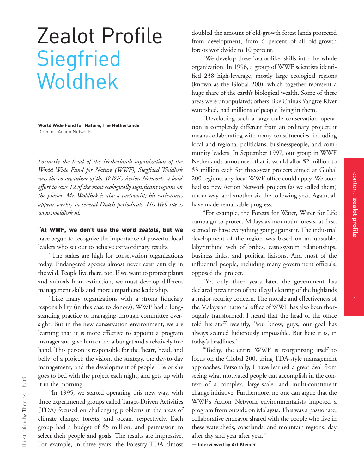## Zealot Profile **Siegfried** Woldhek

**World Wide Fund for Nature, The Netherlands** Director, Action Network

*Formerly the head of the Netherlands organization of the World Wide Fund for Nature (WWF), Siegfried Woldhek was the co-organizer of the WWF's Action Network, a bold effort to save 12 of the most ecologically significant regions on the planet. Mr. Woldhek is also a cartoonist; his caricatures appear weekly in several Dutch periodicals. His Web site is www.woldhek.nl.*

"At WWF, we don't use the word *zealots*, but we have begun to recognize the importance of powerful local leaders who set out to achieve extraordinary results.

"The stakes are high for conservation organizations today. Endangered species almost never exist entirely in the wild. People live there, too. If we want to protect plants and animals from extinction, we must develop different management skills and more empathetic leadership.

"Like many organizations with a strong fiduciary responsibility (in this case to donors), WWF had a longstanding practice of managing through committee oversight. But in the new conservation environment, we are learning that it is more effective to appoint a program manager and give him or her a budget and a relatively free hand. This person is responsible for the 'heart, head, and belly' of a project: the vision, the strategy, the day-to-day management, and the development of people. He or she goes to bed with the project each night, and gets up with it in the morning.

"In 1995, we started operating this new way, with three experimental groups called Target-Driven Activities (TDA) focused on challenging problems in the areas of climate change, forests, and ocean, respectively. Each group had a budget of \$5 million, and permission to select their people and goals. The results are impressive. For example, in three years, the Forestry TDA almost

doubled the amount of old-growth forest lands protected from development, from 6 percent of all old-growth forests worldwide to 10 percent.

"We develop these 'zealot-like' skills into the whole organization. In 1996, a group of WWF scientists identified 238 high-leverage, mostly large ecological regions (known as the Global 200), which together represent a huge share of the earth's biological wealth. Some of these areas were unpopulated; others, like China's Yangtze River watershed, had millions of people living in them.

"Developing such a large-scale conservation operation is completely different from an ordinary project; it means collaborating with many constituencies, including local and regional politicians, businesspeople, and community leaders. In September 1997, our group in WWF Netherlands announced that it would allot \$2 million to \$3 million each for three-year projects aimed at Global 200 regions; any local WWF office could apply. We soon had six new Action Network projects (as we called them) under way, and another six the following year. Again, all have made remarkable progress.

"For example, the Forests for Water, Water for Life campaign to protect Malaysia's mountain forests, at first, seemed to have everything going against it. The industrial development of the region was based on an unstable, labyrinthine web of bribes, caste-system relationships, business links, and political liaisons. And most of the influential people, including many government officials, opposed the project.

"Yet only three years later, the government has declared prevention of the illegal clearing of the highlands a major security concern. The morale and effectiveness of the Malaysian national office of WWF has also been thoroughly transformed. I heard that the head of the office told his staff recently, 'You know, guys, our goal has always seemed ludicrously impossible. But here it is, in today's headlines.'

"Today, the entire WWF is reorganizing itself to focus on the Global 200, using TDA-style management approaches. Personally, I have learned a great deal from seeing what motivated people can accomplish in the context of a complex, large-scale, and multi-constituent change initiative. Furthermore, no one can argue that the WWF's Action Network environmentalists imposed a program from outside on Malaysia. This was a passionate, collaborative endeavor shared with the people who live in these watersheds, coastlands, and mountain regions, day after day and year after year."

**— Interviewed by Art Kleiner**

**1**